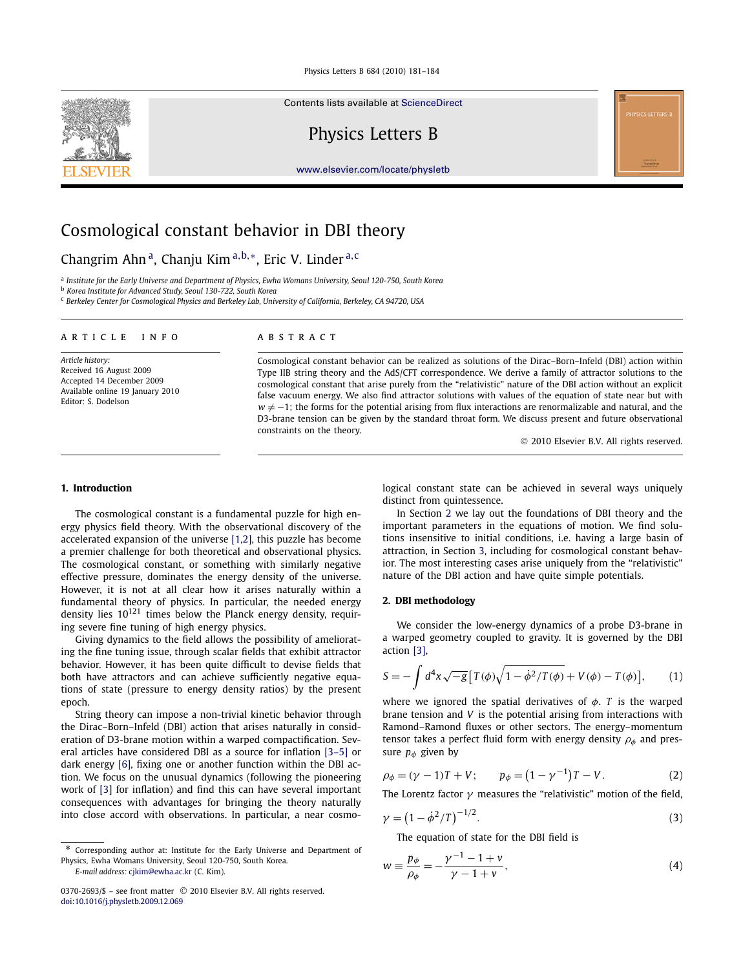Contents lists available at [ScienceDirect](http://www.ScienceDirect.com/)

Physics Letters B

[www.elsevier.com/locate/physletb](http://www.elsevier.com/locate/physletb)

# Cosmological constant behavior in DBI theory

Changrim Ahn a, Chanju Kim <sup>a</sup>*,*b*,*∗, Eric V. Linder <sup>a</sup>*,*<sup>c</sup>

<sup>a</sup> *Institute for the Early Universe and Department of Physics, Ewha Womans University, Seoul 120-750, South Korea*

<sup>b</sup> *Korea Institute for Advanced Study, Seoul 130-722, South Korea*

<sup>c</sup> *Berkeley Center for Cosmological Physics and Berkeley Lab, University of California, Berkeley, CA 94720, USA*

### article info abstract

*Article history:* Received 16 August 2009 Accepted 14 December 2009 Available online 19 January 2010 Editor: S. Dodelson

Cosmological constant behavior can be realized as solutions of the Dirac–Born–Infeld (DBI) action within Type IIB string theory and the AdS/CFT correspondence. We derive a family of attractor solutions to the cosmological constant that arise purely from the "relativistic" nature of the DBI action without an explicit false vacuum energy. We also find attractor solutions with values of the equation of state near but with *w* ≠ −1; the forms for the potential arising from flux interactions are renormalizable and natural, and the D3-brane tension can be given by the standard throat form. We discuss present and future observational constraints on the theory.

© 2010 Elsevier B.V. All rights reserved.

# **1. Introduction**

The cosmological constant is a fundamental puzzle for high energy physics field theory. With the observational discovery of the accelerated expansion of the universe [\[1,2\],](#page-3-0) this puzzle has become a premier challenge for both theoretical and observational physics. The cosmological constant, or something with similarly negative effective pressure, dominates the energy density of the universe. However, it is not at all clear how it arises naturally within a fundamental theory of physics. In particular, the needed energy density lies  $10^{121}$  times below the Planck energy density, requiring severe fine tuning of high energy physics.

Giving dynamics to the field allows the possibility of ameliorating the fine tuning issue, through scalar fields that exhibit attractor behavior. However, it has been quite difficult to devise fields that both have attractors and can achieve sufficiently negative equations of state (pressure to energy density ratios) by the present epoch.

String theory can impose a non-trivial kinetic behavior through the Dirac–Born–Infeld (DBI) action that arises naturally in consideration of D3-brane motion within a warped compactification. Several articles have considered DBI as a source for inflation [\[3–5\]](#page-3-0) or dark energy [\[6\],](#page-3-0) fixing one or another function within the DBI action. We focus on the unusual dynamics (following the pioneering work of [\[3\]](#page-3-0) for inflation) and find this can have several important consequences with advantages for bringing the theory naturally into close accord with observations. In particular, a near cosmo-

*E-mail address:* [cjkim@ewha.ac.kr](mailto:cjkim@ewha.ac.kr) (C. Kim).

logical constant state can be achieved in several ways uniquely distinct from quintessence.

In Section 2 we lay out the foundations of DBI theory and the important parameters in the equations of motion. We find solutions insensitive to initial conditions, i.e. having a large basin of attraction, in Section [3,](#page-1-0) including for cosmological constant behavior. The most interesting cases arise uniquely from the "relativistic" nature of the DBI action and have quite simple potentials.

# **2. DBI methodology**

We consider the low-energy dynamics of a probe D3-brane in a warped geometry coupled to gravity. It is governed by the DBI action [\[3\],](#page-3-0)

$$
S = -\int d^4x \sqrt{-g} \left[ T(\phi) \sqrt{1 - \dot{\phi}^2 / T(\phi)} + V(\phi) - T(\phi) \right],
$$
 (1)

where we ignored the spatial derivatives of *φ*. *T* is the warped brane tension and *V* is the potential arising from interactions with Ramond–Ramond fluxes or other sectors. The energy–momentum tensor takes a perfect fluid form with energy density  $\rho_{\phi}$  and pressure  $p_{\phi}$  given by

$$
\rho_{\phi} = (\gamma - 1)T + V; \qquad p_{\phi} = (1 - \gamma^{-1})T - V. \tag{2}
$$

The Lorentz factor *γ* measures the "relativistic" motion of the field,

$$
\gamma = \left(1 - \dot{\phi}^2 / T\right)^{-1/2}.\tag{3}
$$

The equation of state for the DBI field is

$$
w \equiv \frac{p_{\phi}}{\rho_{\phi}} = -\frac{\gamma^{-1} - 1 + \nu}{\gamma - 1 + \nu},
$$
\n(4)

<span id="page-0-0"></span>

Corresponding author at: Institute for the Early Universe and Department of Physics, Ewha Womans University, Seoul 120-750, South Korea.

<sup>0370-2693/\$ –</sup> see front matter © 2010 Elsevier B.V. All rights reserved. [doi:10.1016/j.physletb.2009.12.069](http://dx.doi.org/10.1016/j.physletb.2009.12.069)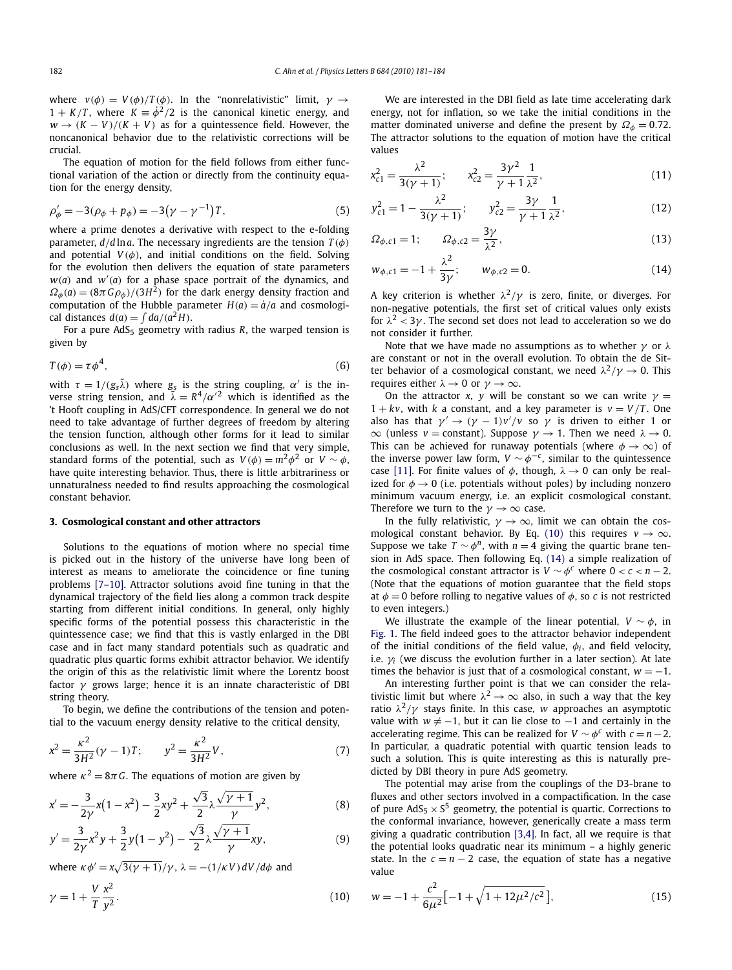<span id="page-1-0"></span>where  $v(\phi) = V(\phi)/T(\phi)$ . In the "nonrelativistic" limit,  $\gamma \rightarrow$  $1 + K/T$ , where  $K = \dot{\phi}^2/2$  is the canonical kinetic energy, and  $w \rightarrow (K - V)/(K + V)$  as for a quintessence field. However, the noncanonical behavior due to the relativistic corrections will be crucial.

The equation of motion for the field follows from either functional variation of the action or directly from the continuity equation for the energy density,

$$
\rho'_{\phi} = -3(\rho_{\phi} + p_{\phi}) = -3(\gamma - \gamma^{-1})T, \tag{5}
$$

where a prime denotes a derivative with respect to the e-folding parameter, *d/d* ln*a*. The necessary ingredients are the tension *T (φ)* and potential  $V(\phi)$ , and initial conditions on the field. Solving for the evolution then delivers the equation of state parameters *w(a)* and *w (a)* for a phase space portrait of the dynamics, and  $\Omega_{\phi}(a) = (8\pi G \rho_{\phi})/(3H^2)$  for the dark energy density fraction and computation of the Hubble parameter  $H(a) = \dot{a}/a$  and cosmological distances  $d(a) = \int da/(a^2H)$ .

For a pure AdS<sub>5</sub> geometry with radius *R*, the warped tension is given by

$$
T(\phi) = \tau \phi^4,\tag{6}
$$

with  $\tau = 1/(g_s\tilde{\lambda})$  where  $g_s$  is the string coupling,  $\alpha'$  is the inverse string tension, and  $\tilde{\lambda} = R^4/\alpha'^2$  which is identified as the 't Hooft coupling in AdS/CFT correspondence. In general we do not need to take advantage of further degrees of freedom by altering the tension function, although other forms for it lead to similar conclusions as well. In the next section we find that very simple, standard forms of the potential, such as  $V(\phi) = m^2 \phi^2$  or  $V \sim \phi$ , have quite interesting behavior. Thus, there is little arbitrariness or unnaturalness needed to find results approaching the cosmological constant behavior.

## **3. Cosmological constant and other attractors**

Solutions to the equations of motion where no special time is picked out in the history of the universe have long been of interest as means to ameliorate the coincidence or fine tuning problems [\[7–10\].](#page-3-0) Attractor solutions avoid fine tuning in that the dynamical trajectory of the field lies along a common track despite starting from different initial conditions. In general, only highly specific forms of the potential possess this characteristic in the quintessence case; we find that this is vastly enlarged in the DBI case and in fact many standard potentials such as quadratic and quadratic plus quartic forms exhibit attractor behavior. We identify the origin of this as the relativistic limit where the Lorentz boost factor *γ* grows large; hence it is an innate characteristic of DBI string theory.

To begin, we define the contributions of the tension and potential to the vacuum energy density relative to the critical density,

$$
x^{2} = \frac{\kappa^{2}}{3H^{2}}(\gamma - 1)T; \qquad y^{2} = \frac{\kappa^{2}}{3H^{2}}V, \tag{7}
$$

where  $\kappa^2 = 8\pi G$ . The equations of motion are given by

$$
x' = -\frac{3}{2\gamma}x(1 - x^2) - \frac{3}{2}xy^2 + \frac{\sqrt{3}}{2}\lambda\frac{\sqrt{\gamma + 1}}{\gamma}y^2,
$$
 (8)

$$
y' = \frac{3}{2\gamma}x^2y + \frac{3}{2}y(1 - y^2) - \frac{\sqrt{3}}{2}\lambda\frac{\sqrt{\gamma + 1}}{\gamma}xy,
$$
 (9)

where  $\kappa \phi' = \frac{x\sqrt{3(\gamma + 1)}}{\gamma}$ ,  $\lambda = -(1/\kappa V) dV/d\phi$  and

$$
\gamma = 1 + \frac{V}{T} \frac{x^2}{y^2}.\tag{10}
$$

We are interested in the DBI field as late time accelerating dark energy, not for inflation, so we take the initial conditions in the matter dominated universe and define the present by  $\Omega_{\phi} = 0.72$ . The attractor solutions to the equation of motion have the critical values

$$
x_{c1}^2 = \frac{\lambda^2}{3(\gamma + 1)}; \qquad x_{c2}^2 = \frac{3\gamma^2}{\gamma + 1} \frac{1}{\lambda^2},\tag{11}
$$

$$
y_{c1}^2 = 1 - \frac{\lambda^2}{3(\gamma + 1)};
$$
  $y_{c2}^2 = \frac{3\gamma}{\gamma + 1} \frac{1}{\lambda^2},$  (12)

$$
\Omega_{\phi,c1} = 1; \qquad \Omega_{\phi,c2} = \frac{3\gamma}{\lambda^2},\tag{13}
$$

$$
w_{\phi,c1} = -1 + \frac{\lambda^2}{3\gamma}; \qquad w_{\phi,c2} = 0.
$$
 (14)

A key criterion is whether  $\lambda^2/\gamma$  is zero, finite, or diverges. For non-negative potentials, the first set of critical values only exists for  $\lambda^2$  < 3 $\gamma$ . The second set does not lead to acceleration so we do not consider it further.

Note that we have made no assumptions as to whether *γ* or *λ* are constant or not in the overall evolution. To obtain the de Sitter behavior of a cosmological constant, we need  $\lambda^2/\gamma \to 0$ . This requires either  $\lambda \to 0$  or  $\gamma \to \infty$ .

On the attractor *x*, *y* will be constant so we can write  $\gamma$  =  $1 + kv$ , with *k* a constant, and a key parameter is  $v = V/T$ . One also has that  $\gamma' \to (\gamma - 1)v'/v$  so  $\gamma$  is driven to either 1 or  $\infty$  (unless *v* = constant). Suppose *γ* → 1. Then we need  $λ$  → 0. This can be achieved for runaway potentials (where  $\phi \rightarrow \infty$ ) of the inverse power law form,  $V \sim \phi^{-c}$ , similar to the quintessence case [\[11\].](#page-3-0) For finite values of  $\phi$ , though,  $\lambda \rightarrow 0$  can only be realized for  $\phi \rightarrow 0$  (i.e. potentials without poles) by including nonzero minimum vacuum energy, i.e. an explicit cosmological constant. Therefore we turn to the  $\gamma \to \infty$  case.

In the fully relativistic,  $\gamma \rightarrow \infty$ , limit we can obtain the cosmological constant behavior. By Eq. (10) this requires  $v \to \infty$ . Suppose we take  $T \sim \phi^n$ , with  $n = 4$  giving the quartic brane tension in AdS space. Then following Eq. (14) a simple realization of the cosmological constant attractor is  $V \sim \phi^c$  where  $0 < c < n - 2$ . (Note that the equations of motion guarantee that the field stops at  $\phi = 0$  before rolling to negative values of  $\phi$ , so *c* is not restricted to even integers.)

We illustrate the example of the linear potential,  $V \sim \phi$ , in [Fig. 1.](#page-2-0) The field indeed goes to the attractor behavior independent of the initial conditions of the field value, *φi*, and field velocity, i.e.  $\gamma$ <sup>*i*</sup> (we discuss the evolution further in a later section). At late times the behavior is just that of a cosmological constant,  $w = -1$ .

An interesting further point is that we can consider the relativistic limit but where  $\lambda^2 \to \infty$  also, in such a way that the key ratio  $\lambda^2/\gamma$  stays finite. In this case, *w* approaches an asymptotic value with  $w \neq -1$ , but it can lie close to  $-1$  and certainly in the accelerating regime. This can be realized for  $V \sim \phi^c$  with  $c = n - 2$ . In particular, a quadratic potential with quartic tension leads to such a solution. This is quite interesting as this is naturally predicted by DBI theory in pure AdS geometry.

The potential may arise from the couplings of the D3-brane to fluxes and other sectors involved in a compactification. In the case of pure  $AdS_5 \times S^5$  geometry, the potential is quartic. Corrections to the conformal invariance, however, generically create a mass term giving a quadratic contribution [\[3,4\].](#page-3-0) In fact, all we require is that the potential looks quadratic near its minimum – a highly generic state. In the  $c = n - 2$  case, the equation of state has a negative value

$$
w = -1 + \frac{c^2}{6\mu^2} \left[ -1 + \sqrt{1 + 12\mu^2/c^2} \right],
$$
\n(15)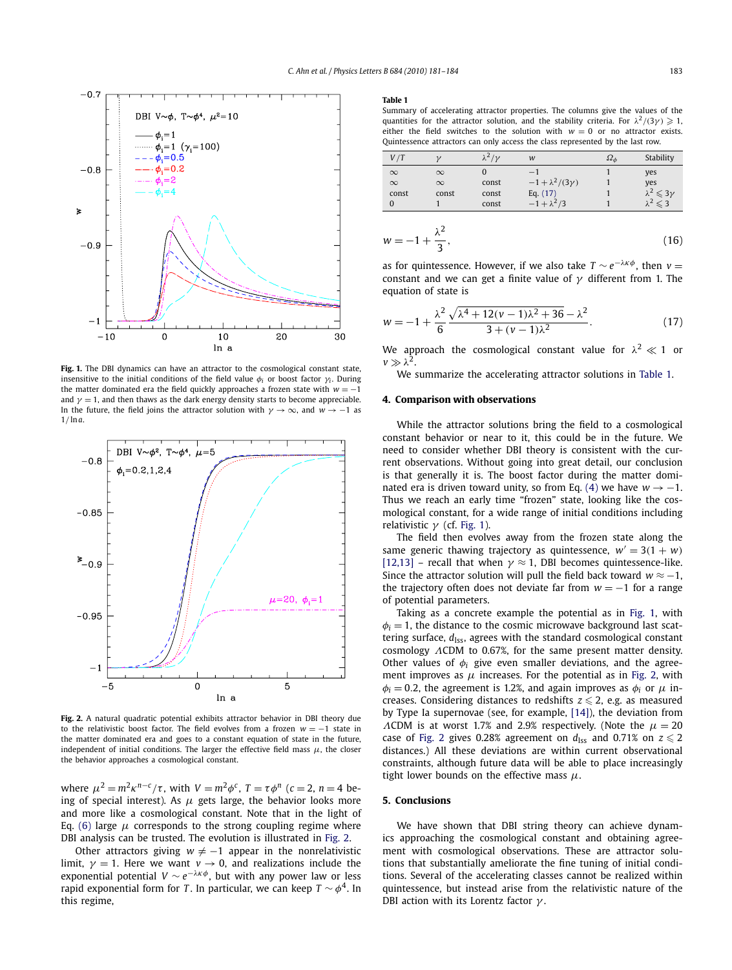<span id="page-2-0"></span>

**Fig. 1.** The DBI dynamics can have an attractor to the cosmological constant state, insensitive to the initial conditions of the field value  $\phi$ *i* or boost factor  $\gamma$ *i*. During the matter dominated era the field quickly approaches a frozen state with *w* = −1 and  $\gamma = 1$ , and then thaws as the dark energy density starts to become appreciable. In the future, the field joins the attractor solution with  $\gamma \to \infty$ , and  $w \to -1$  as 1*/* ln*a*.



**Fig. 2.** A natural quadratic potential exhibits attractor behavior in DBI theory due to the relativistic boost factor. The field evolves from a frozen *w* = −1 state in the matter dominated era and goes to a constant equation of state in the future, independent of initial conditions. The larger the effective field mass  $\mu$ , the closer the behavior approaches a cosmological constant.

where  $\mu^2 = m^2 \kappa^{n-c}/\tau$ , with  $V = m^2 \phi^c$ ,  $T = \tau \phi^n$  ( $c = 2$ ,  $n = 4$  being of special interest). As  $\mu$  gets large, the behavior looks more and more like a cosmological constant. Note that in the light of Eq. [\(6\)](#page-1-0) large  $\mu$  corresponds to the strong coupling regime where DBI analysis can be trusted. The evolution is illustrated in Fig. 2.

Other attractors giving  $w \neq -1$  appear in the nonrelativistic limit,  $\gamma = 1$ . Here we want  $v \rightarrow 0$ , and realizations include the exponential potential  $V \sim e^{-\lambda \kappa \phi}$ , but with any power law or less rapid exponential form for *T*. In particular, we can keep  $T \sim \phi^4$ . In this regime,

#### **Table 1**

Summary of accelerating attractor properties. The columns give the values of the quantities for the attractor solution, and the stability criteria. For  $\lambda^2/(3\gamma) \geq 1$ , either the field switches to the solution with  $w = 0$  or no attractor exists. Quintessence attractors can only access the class represented by the last row.

| V/T      |          | $\lambda^2/\nu$ | w                          | $\Omega_{\phi}$ | Stability                     |
|----------|----------|-----------------|----------------------------|-----------------|-------------------------------|
| $\infty$ | $\infty$ |                 |                            |                 | yes                           |
| $\infty$ | $\infty$ | const           | $-1 + \lambda^2/(3\gamma)$ |                 | yes                           |
| const    | const    | const           | Eq. $(17)$                 |                 | $\lambda^2 \leqslant 3\gamma$ |
|          |          | const           | $-1 + \lambda^2/3$         |                 | $\lambda^2 \leqslant 3$       |

$$
w = -1 + \frac{\lambda^2}{3},\tag{16}
$$

as for quintessence. However, if we also take  $T \sim e^{-\lambda \kappa \phi}$ , then  $\nu =$ constant and we can get a finite value of *γ* different from 1. The equation of state is

$$
w = -1 + \frac{\lambda^2}{6} \frac{\sqrt{\lambda^4 + 12(v - 1)\lambda^2 + 36} - \lambda^2}{3 + (v - 1)\lambda^2}.
$$
 (17)

We approach the cosmological constant value for  $\lambda^2 \ll 1$  or  $\nu \gg \lambda^2$ 

We summarize the accelerating attractor solutions in Table 1.

# **4. Comparison with observations**

While the attractor solutions bring the field to a cosmological constant behavior or near to it, this could be in the future. We need to consider whether DBI theory is consistent with the current observations. Without going into great detail, our conclusion is that generally it is. The boost factor during the matter domi-nated era is driven toward unity, so from Eq. [\(4\)](#page-0-0) we have  $w \rightarrow -1$ . Thus we reach an early time "frozen" state, looking like the cosmological constant, for a wide range of initial conditions including relativistic *γ* (cf. Fig. 1).

The field then evolves away from the frozen state along the same generic thawing trajectory as quintessence,  $w' = 3(1 + w)$ [\[12,13\]](#page-3-0) – recall that when  $\gamma \approx 1$ , DBI becomes quintessence-like. Since the attractor solution will pull the field back toward  $w \approx -1$ , the trajectory often does not deviate far from  $w = -1$  for a range of potential parameters.

Taking as a concrete example the potential as in Fig. 1, with  $\phi$ <sup>*i*</sup> = 1, the distance to the cosmic microwave background last scattering surface,  $d_{\text{ISS}}$ , agrees with the standard cosmological constant cosmology *Λ*CDM to 0.67%, for the same present matter density. Other values of  $\phi_i$  give even smaller deviations, and the agreement improves as  $\mu$  increases. For the potential as in Fig. 2, with  $\phi$ <sup>*i*</sup> = 0.2, the agreement is 1.2%, and again improves as  $\phi$ *i* or  $\mu$  increases. Considering distances to redshifts  $z\leqslant 2$ , e.g. as measured by Type Ia supernovae (see, for example, [\[14\]\)](#page-3-0), the deviation from *ΛCDM* is at worst 1.7% and 2.9% respectively. (Note the  $\mu = 20$ case of Fig. 2 gives 0.28% agreement on  $d_{\rm lss}$  and 0.71% on  $z\leqslant 2$ distances.) All these deviations are within current observational constraints, although future data will be able to place increasingly tight lower bounds on the effective mass *μ*.

#### **5. Conclusions**

We have shown that DBI string theory can achieve dynamics approaching the cosmological constant and obtaining agreement with cosmological observations. These are attractor solutions that substantially ameliorate the fine tuning of initial conditions. Several of the accelerating classes cannot be realized within quintessence, but instead arise from the relativistic nature of the DBI action with its Lorentz factor *γ* .